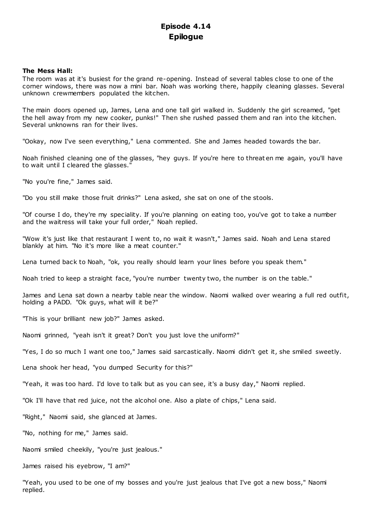# **Episode 4.14 Epilogue**

# **The Mess Hall:**

The room was at it's busiest for the grand re-opening. Instead of several tables close to one of the corner windows, there was now a mini bar. Noah was working there, happily cleaning glasses. Several unknown crewmembers populated the kitchen.

The main doors opened up, James, Lena and one tall girl walked in. Suddenly the girl screamed, "get the hell away from my new cooker, punks!" Then she rushed passed them and ran into the kitchen. Several unknowns ran for their lives.

"Ookay, now I've seen everything," Lena commented. She and James headed towards the bar.

Noah finished cleaning one of the glasses, "hey guys. If you're here to threaten me again, you'll have to wait until I cleared the glasses."

"No you're fine," James said.

"Do you still make those fruit drinks?" Lena asked, she sat on one of the stools.

"Of course I do, they're my speciality. If you're planning on eating too, you've got to take a number and the waitress will take your full order," Noah replied.

"Wow it's just like that restaurant I went to, no wait it wasn't," James said. Noah and Lena stared blankly at him. "No it's more like a meat counter."

Lena turned back to Noah, "ok, you really should learn your lines before you speak them."

Noah tried to keep a straight face, "you're number twenty two, the number is on the table."

James and Lena sat down a nearby table near the window. Naomi walked over wearing a full red outfit, holding a PADD. "Ok guys, what will it be?"

"This is your brilliant new job?" James asked.

Naomi grinned, "yeah isn't it great? Don't you just love the uniform?"

"Yes, I do so much I want one too," James said sarcastically. Naomi didn't get it, she smiled sweetly.

Lena shook her head, "you dumped Security for this?"

"Yeah, it was too hard. I'd love to talk but as you can see, it's a busy day," Naomi replied.

"Ok I'll have that red juice, not the alcohol one. Also a plate of chips," Lena said.

"Right," Naomi said, she glanced at James.

"No, nothing for me," James said.

Naomi smiled cheekily, "you're just jealous."

James raised his eyebrow, "I am?"

"Yeah, you used to be one of my bosses and you're just jealous that I've got a new boss," Naomi replied.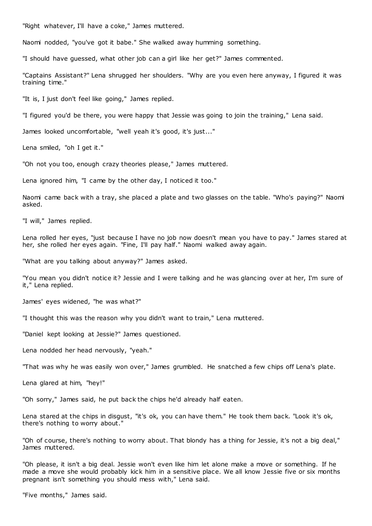"Right whatever, I'll have a coke," James muttered.

Naomi nodded, "you've got it babe." She walked away humming something.

"I should have guessed, what other job can a girl like her get?" James commented.

"Captains Assistant?" Lena shrugged her shoulders. "Why are you even here anyway, I figured it was training time."

"It is, I just don't feel like going," James replied.

"I figured you'd be there, you were happy that Jessie was going to join the training," Lena said.

James looked uncomfortable, "well yeah it's good, it's just..."

Lena smiled, "oh I get it."

"Oh not you too, enough crazy theories please," James muttered.

Lena ignored him, "I came by the other day, I noticed it too."

Naomi came back with a tray, she placed a plate and two glasses on the table. "Who's paying?" Naomi asked.

"I will," James replied.

Lena rolled her eyes, "just because I have no job now doesn't mean you have to pay." James stared at her, she rolled her eyes again. "Fine, I'll pay half." Naomi walked away again.

"What are you talking about anyway?" James asked.

"You mean you didn't notice it? Jessie and I were talking and he was glancing over at her, I'm sure of it," Lena replied.

James' eyes widened, "he was what?"

"I thought this was the reason why you didn't want to train," Lena muttered.

"Daniel kept looking at Jessie?" James questioned.

Lena nodded her head nervously, "yeah."

"That was why he was easily won over," James grumbled. He snatched a few chips off Lena's plate.

Lena glared at him, "hey!"

"Oh sorry," James said, he put back the chips he'd already half eaten.

Lena stared at the chips in disgust, "it's ok, you can have them." He took them back. "Look it's ok, there's nothing to worry about."

"Oh of course, there's nothing to worry about. That blondy has a thing for Jessie, it's not a big deal," James muttered.

"Oh please, it isn't a big deal. Jessie won't even like him let alone make a move or something. If he made a move she would probably kick him in a sensitive place. We all know Jessie five or six months pregnant isn't something you should mess with," Lena said.

"Five months," James said.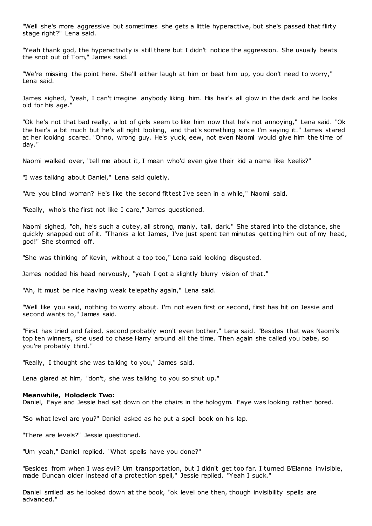"Well she's more aggressive but sometimes she gets a little hyperactive, but she's passed that flirty stage right?" Lena said.

"Yeah thank god, the hyperactivity is still there but I didn't notice the aggression. She usually beats the snot out of Tom," James said.

"We're missing the point here. She'll either laugh at him or beat him up, you don't need to worry," Lena said.

James sighed, "yeah, I can't imagine anybody liking him. His hair's all glow in the dark and he looks old for his age.

"Ok he's not that bad really, a lot of girls seem to like him now that he's not annoying," Lena said. "Ok the hair's a bit much but he's all right looking, and that's something since I'm saying it." James stared at her looking scared. "Ohno, wrong guy. He's yuck, eew, not even Naomi would give him the time of day."

Naomi walked over, "tell me about it, I mean who'd even give their kid a name like Neelix?"

"I was talking about Daniel," Lena said quietly.

"Are you blind woman? He's like the second fittest I've seen in a while," Naomi said.

"Really, who's the first not like I care," James questioned.

Naomi sighed, "oh, he's such a cutey, all strong, manly, tall, dark." She stared into the distance, she quickly snapped out of it. "Thanks a lot James, I've just spent ten minutes getting him out of my head, god!" She stormed off.

"She was thinking of Kevin, without a top too," Lena said looking disgusted.

James nodded his head nervously, "yeah I got a slightly blurry vision of that."

"Ah, it must be nice having weak telepathy again," Lena said.

"Well like you said, nothing to worry about. I'm not even first or second, first has hit on Jessie and second wants to," James said.

"First has tried and failed, second probably won't even bother," Lena said. "Besides that was Naomi's top ten winners, she used to chase Harry around all the time. Then again she called you babe, so you're probably third."

"Really, I thought she was talking to you," James said.

Lena glared at him, "don't, she was talking to you so shut up."

#### **Meanwhile, Holodeck Two:**

Daniel, Faye and Jessie had sat down on the chairs in the hologym. Faye was looking rather bored.

"So what level are you?" Daniel asked as he put a spell book on his lap.

"There are levels?" Jessie questioned.

"Um yeah," Daniel replied. "What spells have you done?"

"Besides from when I was evil? Um transportation, but I didn't get too far. I turned B'Elanna invisible, made Duncan older instead of a protection spell," Jessie replied. "Yeah I suck."

Daniel smiled as he looked down at the book, "ok level one then, though invisibility spells are advanced."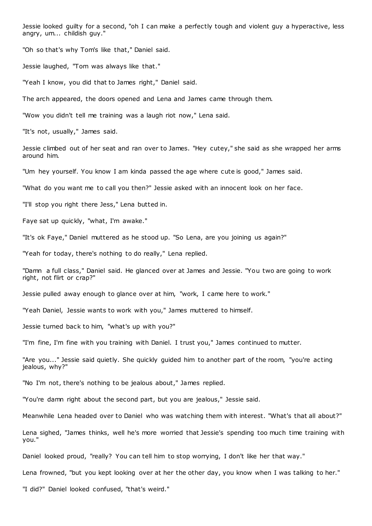Jessie looked guilty for a second, "oh I can make a perfectly tough and violent guy a hyperactive, less angry, um... childish guy."

"Oh so that's why Tom's like that," Daniel said.

Jessie laughed, "Tom was always like that."

"Yeah I know, you did that to James right," Daniel said.

The arch appeared, the doors opened and Lena and James came through them.

"Wow you didn't tell me training was a laugh riot now," Lena said.

"It's not, usually," James said.

Jessie climbed out of her seat and ran over to James. "Hey cutey," she said as she wrapped her arms around him.

"Um hey yourself. You know I am kinda passed the age where cute is good," James said.

"What do you want me to call you then?" Jessie asked with an innocent look on her face.

"I'll stop you right there Jess," Lena butted in.

Faye sat up quickly, "what, I'm awake."

"It's ok Faye," Daniel muttered as he stood up. "So Lena, are you joining us again?"

"Yeah for today, there's nothing to do really," Lena replied.

"Damn a full class," Daniel said. He glanced over at James and Jessie. "You two are going to work right, not flirt or crap?"

Jessie pulled away enough to glance over at him, "work, I came here to work."

"Yeah Daniel, Jessie wants to work with you," James muttered to himself.

Jessie turned back to him, "what's up with you?"

"I'm fine, I'm fine with you training with Daniel. I trust you," James continued to mutter.

"Are you..." Jessie said quietly. She quickly guided him to another part of the room, "you're acting jealous, why?"

"No I'm not, there's nothing to be jealous about," James replied.

"You're damn right about the second part, but you are jealous," Jessie said.

Meanwhile Lena headed over to Daniel who was watching them with interest. "What's that all about?"

Lena sighed, "James thinks, well he's more worried that Jessie's spending too much time training with you."

Daniel looked proud, "really? You can tell him to stop worrying, I don't like her that way."

Lena frowned, "but you kept looking over at her the other day, you know when I was talking to her."

"I did?" Daniel looked confused, "that's weird."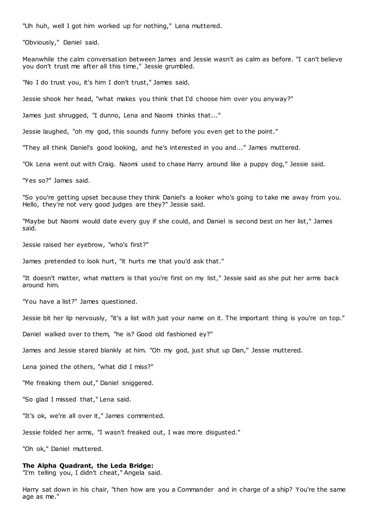"Uh huh, well I got him worked up for nothing," Lena muttered.

"Obviously," Daniel said.

Meanwhile the calm conversation between James and Jessie wasn't as calm as before. "I can't believe you don't trust me after all this time," Jessie grumbled.

"No I do trust you, it's him I don't trust," James said.

Jessie shook her head, "what makes you think that I'd choose him over you anyway?"

James just shrugged, "I dunno, Lena and Naomi thinks that..."

Jessie laughed, "oh my god, this sounds funny before you even get to the point."

"They all think Daniel's good looking, and he's interested in you and..." James muttered.

"Ok Lena went out with Craig. Naomi used to chase Harry around like a puppy dog," Jessie said.

"Yes so?" James said.

"So you're getting upset because they think Daniel's a looker who's going to take me away from you. Hello, they're not very good judges are they?" Jessie said.

"Maybe but Naomi would date every guy if she could, and Daniel is second best on her list," James said.

Jessie raised her eyebrow, "who's first?"

James pretended to look hurt, "it hurts me that you'd ask that."

"It doesn't matter, what matters is that you're first on my list," Jessie said as she put her arms back around him.

"You have a list?" James questioned.

Jessie bit her lip nervously, "it's a list with just your name on it. The important thing is you're on top."

Daniel walked over to them, "he is? Good old fashioned ey?"

James and Jessie stared blankly at him. "Oh my god, just shut up Dan," Jessie muttered.

Lena joined the others, "what did I miss?"

"Me freaking them out," Daniel sniggered.

"So glad I missed that," Lena said.

"It's ok, we're all over it," James commented.

Jessie folded her arms, "I wasn't freaked out, I was more disgusted."

"Oh ok," Daniel muttered.

## **The Alpha Quadrant, the Leda Bridge:**

"I'm telling you, I didn't cheat," Angela said.

Harry sat down in his chair, "then how are you a Commander and in charge of a ship? You're the same age as me."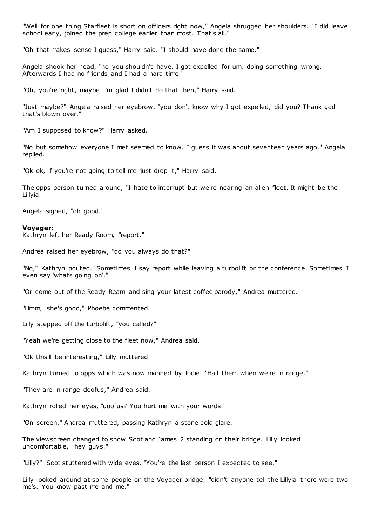"Well for one thing Starfleet is short on officers right now," Angela shrugged her shoulders. "I did leave school early, joined the prep college earlier than most. That's all."

"Oh that makes sense I guess," Harry said. "I should have done the same."

Angela shook her head, "no you shouldn't have. I got expelled for um, doing something wrong. Afterwards I had no friends and I had a hard time.

"Oh, you're right, maybe I'm glad I didn't do that then," Harry said.

"Just maybe?" Angela raised her eyebrow, "you don't know why I got expelled, did you? Thank god that's blown over."

"Am I supposed to know?" Harry asked.

"No but somehow everyone I met seemed to know. I guess it was about seventeen years ago," Angela replied.

"Ok ok, if you're not going to tell me just drop it," Harry said.

The opps person turned around, "I hate to interrupt but we're nearing an alien fleet. It might be the Lillyia."

Angela sighed, "oh good."

#### **Voyager:**

Kathryn left her Ready Room, "report."

Andrea raised her eyebrow, "do you always do that?"

"No," Kathryn pouted. "Sometimes I say report while leaving a turbolift or the conference. Sometimes I even say 'whats going on'."

"Or come out of the Ready Ream and sing your latest coffee parody," Andrea muttered.

"Hmm, she's good," Phoebe commented.

Lilly stepped off the turbolift, "you called?"

"Yeah we're getting close to the fleet now," Andrea said.

"Ok this'll be interesting," Lilly muttered.

Kathryn turned to opps which was now manned by Jodie. "Hail them when we're in range."

"They are in range doofus," Andrea said.

Kathryn rolled her eyes, "doofus? You hurt me with your words."

"On screen," Andrea muttered, passing Kathryn a stone cold glare.

The viewscreen changed to show Scot and James 2 standing on their bridge. Lilly looked uncomfortable, "hey guys."

"Lilly?" Scot stuttered with wide eyes. "You're the last person I expected to see."

Lilly looked around at some people on the Voyager bridge, "didn't anyone tell the Lillyia there were two me's. You know past me and me."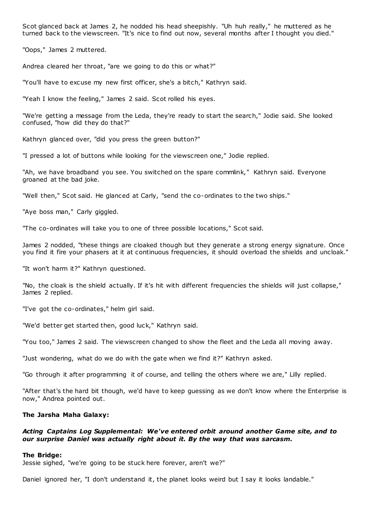Scot glanced back at James 2, he nodded his head sheepishly. "Uh huh really," he muttered as he turned back to the viewscreen. "It's nice to find out now, several months after I thought you died."

"Oops," James 2 muttered.

Andrea cleared her throat, "are we going to do this or what?"

"You'll have to excuse my new first officer, she's a bitch," Kathryn said.

"Yeah I know the feeling," James 2 said. Scot rolled his eyes.

"We're getting a message from the Leda, they're ready to start the search," Jodie said. She looked confused, "how did they do that?"

Kathryn glanced over, "did you press the green button?"

"I pressed a lot of buttons while looking for the viewscreen one," Jodie replied.

"Ah, we have broadband you see. You switched on the spare commlink," Kathryn said. Everyone groaned at the bad joke.

"Well then," Scot said. He glanced at Carly, "send the co-ordinates to the two ships."

"Aye boss man," Carly giggled.

"The co-ordinates will take you to one of three possible locations," Scot said.

James 2 nodded, "these things are cloaked though but they generate a strong energy signature. Once you find it fire your phasers at it at continuous frequencies, it should overload the shields and uncloak."

"It won't harm it?" Kathryn questioned.

"No, the cloak is the shield actually. If it's hit with different frequencies the shields will just collapse," James 2 replied.

"I've got the co-ordinates," helm girl said.

"We'd better get started then, good luck," Kathryn said.

"You too," James 2 said. The viewscreen changed to show the fleet and the Leda all moving away.

"Just wondering, what do we do with the gate when we find it?" Kathryn asked.

"Go through it after programming it of course, and telling the others where we are," Lilly replied.

"After that's the hard bit though, we'd have to keep guessing as we don't know where the Enterprise is now," Andrea pointed out.

#### **The Jarsha Maha Galaxy:**

# *Acting Captains Log Supplemental: We've entered orbit around another Game site, and to our surprise Daniel was actually right about it. By the way that was sarcasm.*

#### **The Bridge:**

Jessie sighed, "we're going to be stuck here forever, aren't we?"

Daniel ignored her, "I don't understand it, the planet looks weird but I say it looks landable."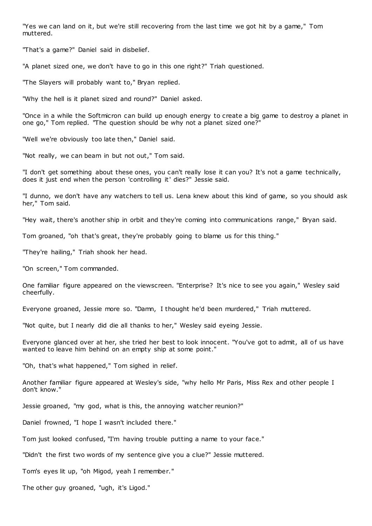"Yes we can land on it, but we're still recovering from the last time we got hit by a game," Tom muttered.

"That's a game?" Daniel said in disbelief.

"A planet sized one, we don't have to go in this one right?" Triah questioned.

"The Slayers will probably want to," Bryan replied.

"Why the hell is it planet sized and round?" Daniel asked.

"Once in a while the Softmicron can build up enough energy to create a big game to destroy a planet in one go," Tom replied. "The question should be why not a planet sized one?"

"Well we're obviously too late then," Daniel said.

"Not really, we can beam in but not out," Tom said.

"I don't get something about these ones, you can't really lose it can you? It's not a game technically, does it just end when the person 'controlling it' dies?" Jessie said.

"I dunno, we don't have any watchers to tell us. Lena knew about this kind of game, so you should ask her," Tom said.

"Hey wait, there's another ship in orbit and they're coming into communications range," Bryan said.

Tom groaned, "oh that's great, they're probably going to blame us for this thing."

"They're hailing," Triah shook her head.

"On screen," Tom commanded.

One familiar figure appeared on the viewscreen. "Enterprise? It's nice to see you again," Wesley said cheerfully.

Everyone groaned, Jessie more so. "Damn, I thought he'd been murdered," Triah muttered.

"Not quite, but I nearly did die all thanks to her," Wesley said eyeing Jessie.

Everyone glanced over at her, she tried her best to look innocent. "You've got to admit, all of us have wanted to leave him behind on an empty ship at some point."

"Oh, that's what happened," Tom sighed in relief.

Another familiar figure appeared at Wesley's side, "why hello Mr Paris, Miss Rex and other people I don't know."

Jessie groaned, "my god, what is this, the annoying watcher reunion?"

Daniel frowned, "I hope I wasn't included there."

Tom just looked confused, "I'm having trouble putting a name to your face."

"Didn't the first two words of my sentence give you a clue?" Jessie muttered.

Tom's eyes lit up, "oh Migod, yeah I remember."

The other guy groaned, "ugh, it's Ligod."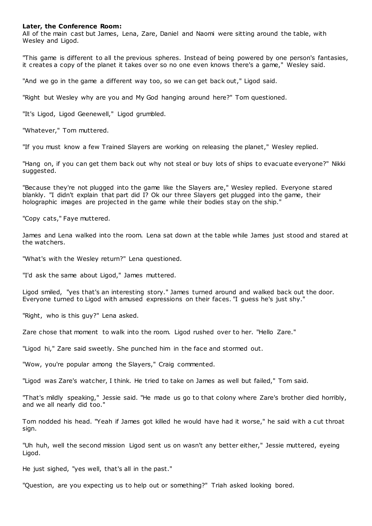## **Later, the Conference Room:**

All of the main cast but James, Lena, Zare, Daniel and Naomi were sitting around the table, with Wesley and Ligod.

"This game is different to all the previous spheres. Instead of being powered by one person's fantasies, it creates a copy of the planet it takes over so no one even knows there's a game," Wesley said.

"And we go in the game a different way too, so we can get back out," Ligod said.

"Right but Wesley why are you and My God hanging around here?" Tom questioned.

"It's Ligod, Ligod Geenewell," Ligod grumbled.

"Whatever," Tom muttered.

"If you must know a few Trained Slayers are working on releasing the planet," Wesley replied.

"Hang on, if you can get them back out why not steal or buy lots of ships to evacuate everyone?" Nikki suggested.

"Because they're not plugged into the game like the Slayers are," Wesley replied. Everyone stared blankly. "I didn't explain that part did I? Ok our three Slayers get plugged into the game, their holographic images are projected in the game while their bodies stay on the ship."

"Copy cats," Faye muttered.

James and Lena walked into the room. Lena sat down at the table while James just stood and stared at the watchers.

"What's with the Wesley return?" Lena questioned.

"I'd ask the same about Ligod," James muttered.

Ligod smiled, "yes that's an interesting story." James turned around and walked back out the door. Everyone turned to Ligod with amused expressions on their faces. "I guess he's just shy."

"Right, who is this guy?" Lena asked.

Zare chose that moment to walk into the room. Ligod rushed over to her. "Hello Zare."

"Ligod hi," Zare said sweetly. She punched him in the face and stormed out.

"Wow, you're popular among the Slayers," Craig commented.

"Ligod was Zare's watcher, I think. He tried to take on James as well but failed," Tom said.

"That's mildly speaking," Jessie said. "He made us go to that colony where Zare's brother died horribly, and we all nearly did too."

Tom nodded his head. "Yeah if James got killed he would have had it worse," he said with a cut throat sign.

"Uh huh, well the second mission Ligod sent us on wasn't any better either," Jessie muttered, eyeing Ligod.

He just sighed, "yes well, that's all in the past."

"Question, are you expecting us to help out or something?" Triah asked looking bored.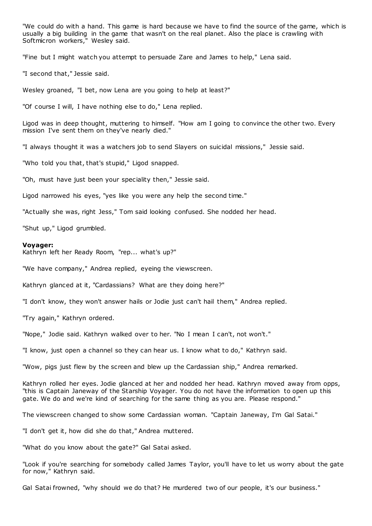"We could do with a hand. This game is hard because we have to find the source of the game, which is usually a big building in the game that wasn't on the real planet. Also the place is crawling with Softmicron workers," Wesley said.

"Fine but I might watch you attempt to persuade Zare and James to help," Lena said.

"I second that," Jessie said.

Wesley groaned, "I bet, now Lena are you going to help at least?"

"Of course I will, I have nothing else to do," Lena replied.

Ligod was in deep thought, muttering to himself. "How am I going to convince the other two. Every mission I've sent them on they've nearly died."

"I always thought it was a watchers job to send Slayers on suicidal missions," Jessie said.

"Who told you that, that's stupid," Ligod snapped.

"Oh, must have just been your speciality then," Jessie said.

Ligod narrowed his eyes, "yes like you were any help the second time."

"Actually she was, right Jess," Tom said looking confused. She nodded her head.

"Shut up," Ligod grumbled.

#### **Voyager:**

Kathryn left her Ready Room, "rep... what's up?"

"We have company," Andrea replied, eyeing the viewscreen.

Kathryn glanced at it, "Cardassians? What are they doing here?"

"I don't know, they won't answer hails or Jodie just can't hail them," Andrea replied.

"Try again," Kathryn ordered.

"Nope," Jodie said. Kathryn walked over to her. "No I mean I can't, not won't."

"I know, just open a channel so they can hear us. I know what to do," Kathryn said.

"Wow, pigs just flew by the screen and blew up the Cardassian ship," Andrea remarked.

Kathryn rolled her eyes. Jodie glanced at her and nodded her head. Kathryn moved away from opps, "this is Captain Janeway of the Starship Voyager. You do not have the information to open up this gate. We do and we're kind of searching for the same thing as you are. Please respond."

The viewscreen changed to show some Cardassian woman. "Captain Janeway, I'm Gal Satai."

"I don't get it, how did she do that," Andrea muttered.

"What do you know about the gate?" Gal Satai asked.

"Look if you're searching for somebody called James Taylor, you'll have to let us worry about the gate for now," Kathryn said.

Gal Satai frowned, "why should we do that? He murdered two of our people, it's our business."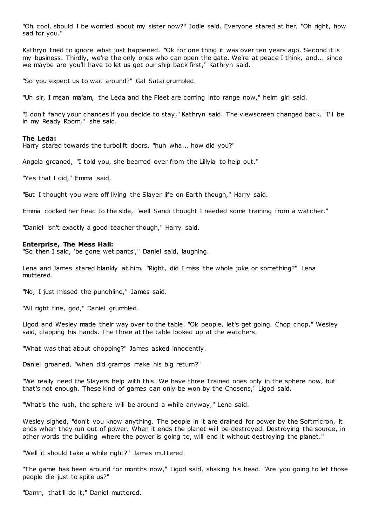"Oh cool, should I be worried about my sister now?" Jodie said. Everyone stared at her. "Oh right, how sad for you."

Kathryn tried to ignore what just happened. "Ok for one thing it was over ten years ago. Second it is my business. Thirdly, we're the only ones who can open the gate. We're at peace I think, and... since we maybe are you'll have to let us get our ship back first," Kathryn said.

"So you expect us to wait around?" Gal Satai grumbled.

"Uh sir, I mean ma'am, the Leda and the Fleet are coming into range now," helm girl said.

"I don't fancy your chances if you decide to stay," Kathryn said. The viewscreen changed back. "I'll be in my Ready Room," she said.

## **The Leda:**

Harry stared towards the turbolift doors, "huh wha... how did you?"

Angela groaned, "I told you, she beamed over from the Lillyia to help out."

"Yes that I did," Emma said.

"But I thought you were off living the Slayer life on Earth though," Harry said.

Emma cocked her head to the side, "well Sandi thought I needed some training from a watcher."

"Daniel isn't exactly a good teacher though," Harry said.

#### **Enterprise, The Mess Hall:**

"So then I said, 'be gone wet pants'," Daniel said, laughing.

Lena and James stared blankly at him. "Right, did I miss the whole joke or something?" Lena muttered.

"No, I just missed the punchline," James said.

"All right fine, god," Daniel grumbled.

Ligod and Wesley made their way over to the table. "Ok people, let's get going. Chop chop," Wesley said, clapping his hands. The three at the table looked up at the watchers.

"What was that about chopping?" James asked innocently.

Daniel groaned, "when did gramps make his big return?"

"We really need the Slayers help with this. We have three Trained ones only in the sphere now, but that's not enough. These kind of games can only be won by the Chosens," Ligod said.

"What's the rush, the sphere will be around a while anyway," Lena said.

Wesley sighed, "don't you know anything. The people in it are drained for power by the Softmicron, it ends when they run out of power. When it ends the planet will be destroyed. Destroying the source, in other words the building where the power is going to, will end it without destroying the planet."

"Well it should take a while right?" James muttered.

"The game has been around for months now," Ligod said, shaking his head. "Are you going to let those people die just to spite us?"

"Damn, that'll do it," Daniel muttered.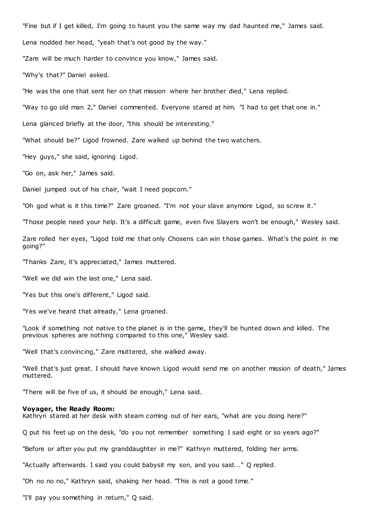"Fine but if I get killed, I'm going to haunt you the same way my dad haunted me," James said.

Lena nodded her head, "yeah that's not good by the way."

"Zare will be much harder to convince you know," James said.

"Why's that?" Daniel asked.

"He was the one that sent her on that mission where her brother died," Lena replied.

"Way to go old man 2," Daniel commented. Everyone stared at him. "I had to get that one in."

Lena glanced briefly at the door, "this should be interesting."

"What should be?" Ligod frowned. Zare walked up behind the two watchers.

"Hey guys," she said, ignoring Ligod.

"Go on, ask her," James said.

Daniel jumped out of his chair, "wait I need popcorn."

"Oh god what is it this time?" Zare groaned. "I'm not your slave anymore Ligod, so screw it."

"Those people need your help. It's a difficult game, even five Slayers won't be enough," Wesley said.

Zare rolled her eyes, "Ligod told me that only Chosens can win those games. What's the point in me going?"

"Thanks Zare, it's appreciated," James muttered.

"Well we did win the last one," Lena said.

"Yes but this one's different," Ligod said.

"Yes we've heard that already," Lena groaned.

"Look if something not native to the planet is in the game, they'll be hunted down and killed. The previous spheres are nothing compared to this one," Wesley said.

"Well that's convincing," Zare muttered, she walked away.

"Well that's just great. I should have known Ligod would send me on another mission of death," James muttered.

"There will be five of us, it should be enough," Lena said.

#### **Voyager, the Ready Room:**

Kathryn stared at her desk with steam coming out of her ears, "what are you doing here?"

Q put his feet up on the desk, "do you not remember something I said eight or so years ago?"

"Before or after you put my granddaughter in me?" Kathryn muttered, folding her arms.

"Actually afterwards. I said you could babysit my son, and you said..." Q replied.

"Oh no no no," Kathryn said, shaking her head. "This is not a good time."

"I'll pay you something in return," Q said.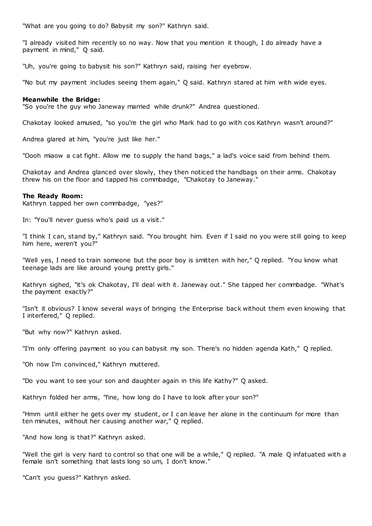"What are you going to do? Babysit my son?" Kathryn said.

"I already visited him recently so no way. Now that you mention it though, I do already have a payment in mind," Q said.

"Uh, you're going to babysit his son?" Kathryn said, raising her eyebrow.

"No but my payment includes seeing them again," Q said. Kathryn stared at him with wide eyes.

## **Meanwhile the Bridge:**

"So you're the guy who Janeway married while drunk?" Andrea questioned.

Chakotay looked amused, "so you're the girl who Mark had to go with cos Kathryn wasn't around?"

Andrea glared at him, "you're just like her."

"Oooh miaow a cat fight. Allow me to supply the hand bags," a lad's voice said from behind them.

Chakotay and Andrea glanced over slowly, they then noticed the handbags on their arms. Chakotay threw his on the floor and tapped his commbadge, "Chakotay to Janeway."

#### **The Ready Room:**

Kathryn tapped her own commbadge, "yes?"

In: "You'll never guess who's paid us a visit."

"I think I can, stand by," Kathryn said. "You brought him. Even if I said no you were still going to keep him here, weren't you?"

"Well yes, I need to train someone but the poor boy is smitten with her," Q replied. "You know what teenage lads are like around young pretty girls."

Kathryn sighed, "it's ok Chakotay, I'll deal with it. Janeway out." She tapped her commbadge. "What's the payment exactly?"

"Isn't it obvious? I know several ways of bringing the Enterprise back without them even knowing that I interfered," Q replied.

"But why now?" Kathryn asked.

"I'm only offering payment so you can babysit my son. There's no hidden agenda Kath," Q replied.

"Oh now I'm convinced," Kathryn muttered.

"Do you want to see your son and daughter again in this life Kathy?" Q asked.

Kathryn folded her arms, "fine, how long do I have to look after your son?"

"Hmm until either he gets over my student, or I c an leave her alone in the continuum for more than ten minutes, without her causing another war," Q replied.

"And how long is that?" Kathryn asked.

"Well the girl is very hard to control so that one will be a while," Q replied. "A male Q infatuated with a female isn't something that lasts long so um, I don't know."

"Can't you guess?" Kathryn asked.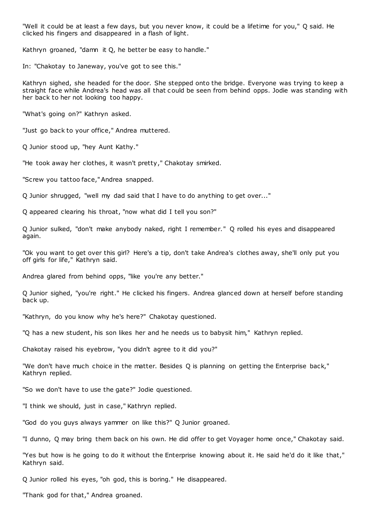"Well it could be at least a few days, but you never know, it could be a lifetime for you," Q said. He clicked his fingers and disappeared in a flash of light.

Kathryn groaned, "damn it Q, he better be easy to handle."

In: "Chakotay to Janeway, you've got to see this."

Kathryn sighed, she headed for the door. She stepped onto the bridge. Everyone was trying to keep a straight face while Andrea's head was all that c ould be seen from behind opps. Jodie was standing with her back to her not looking too happy.

"What's going on?" Kathryn asked.

"Just go back to your office," Andrea muttered.

Q Junior stood up, "hey Aunt Kathy."

"He took away her clothes, it wasn't pretty," Chakotay smirked.

"Screw you tattoo face," Andrea snapped.

Q Junior shrugged, "well my dad said that I have to do anything to get over..."

Q appeared clearing his throat, "now what did I tell you son?"

Q Junior sulked, "don't make anybody naked, right I remember." Q rolled his eyes and disappeared again.

"Ok you want to get over this girl? Here's a tip, don't take Andrea's clothes away, she'll only put you off girls for life," Kathryn said.

Andrea glared from behind opps, "like you're any better."

Q Junior sighed, "you're right." He clicked his fingers. Andrea glanced down at herself before standing back up.

"Kathryn, do you know why he's here?" Chakotay questioned.

"Q has a new student, his son likes her and he needs us to babysit him," Kathryn replied.

Chakotay raised his eyebrow, "you didn't agree to it did you?"

"We don't have much choice in the matter. Besides Q is planning on getting the Enterprise back," Kathryn replied.

"So we don't have to use the gate?" Jodie questioned.

"I think we should, just in case," Kathryn replied.

"God do you guys always yammer on like this?" Q Junior groaned.

"I dunno, Q may bring them back on his own. He did offer to get Voyager home once," Chakotay said.

"Yes but how is he going to do it without the Enterprise knowing about it. He said he'd do it like that," Kathryn said.

Q Junior rolled his eyes, "oh god, this is boring." He disappeared.

"Thank god for that," Andrea groaned.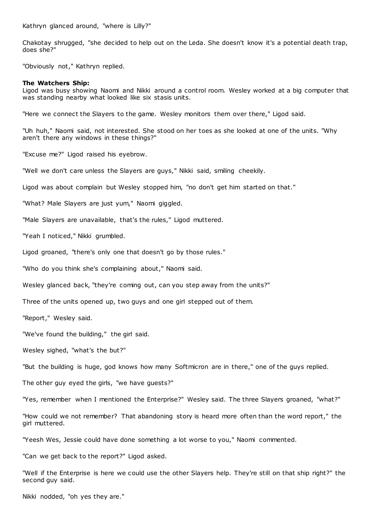Kathryn glanced around, "where is Lilly?"

Chakotay shrugged, "she decided to help out on the Leda. She doesn't know it's a potential death trap, does she?"

"Obviously not," Kathryn replied.

#### **The Watchers Ship:**

Ligod was busy showing Naomi and Nikki around a control room. Wesley worked at a big computer that was standing nearby what looked like six stasis units.

"Here we connect the Slayers to the game. Wesley monitors them over there," Ligod said.

"Uh huh," Naomi said, not interested. She stood on her toes as she looked at one of the units. "Why aren't there any windows in these things?"

"Excuse me?" Ligod raised his eyebrow.

"Well we don't care unless the Slayers are guys," Nikki said, smiling cheekily.

Ligod was about complain but Wesley stopped him, "no don't get him started on that."

"What? Male Slayers are just yum," Naomi giggled.

"Male Slayers are unavailable, that's the rules," Ligod muttered.

"Yeah I noticed," Nikki grumbled.

Ligod groaned, "there's only one that doesn't go by those rules."

"Who do you think she's complaining about," Naomi said.

Wesley glanced back, "they're coming out, can you step away from the units?"

Three of the units opened up, two guys and one girl stepped out of them.

"Report," Wesley said.

"We've found the building," the girl said.

Wesley sighed, "what's the but?"

"But the building is huge, god knows how many Softmicron are in there," one of the guys replied.

The other guy eyed the girls, "we have guests?"

"Yes, remember when I mentioned the Enterprise?" Wesley said. The three Slayers groaned, "what?"

"How could we not remember? That abandoning story is heard more often than the word report," the girl muttered.

"Yeesh Wes, Jessie could have done something a lot worse to you," Naomi commented.

"Can we get back to the report?" Ligod asked.

"Well if the Enterprise is here we could use the other Slayers help. They're still on that ship right?" the second guy said.

Nikki nodded, "oh yes they are."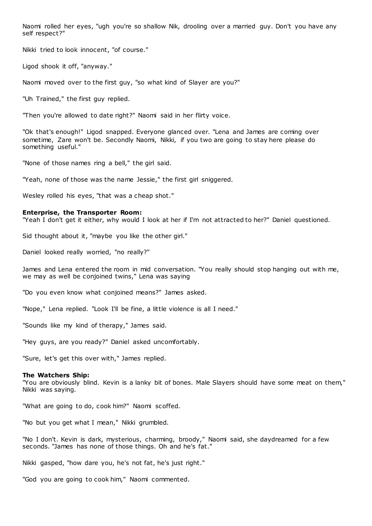Naomi rolled her eyes, "ugh you're so shallow Nik, drooling over a married guy. Don't you have any self respect?"

Nikki tried to look innocent, "of course."

Ligod shook it off, "anyway."

Naomi moved over to the first guy, "so what kind of Slayer are you?"

"Uh Trained," the first guy replied.

"Then you're allowed to date right?" Naomi said in her flirty voice.

"Ok that's enough!" Ligod snapped. Everyone glanced over. "Lena and James are coming over sometime, Zare won't be. Secondly Naomi, Nikki, if you two are going to stay here please do something useful."

"None of those names ring a bell," the girl said.

"Yeah, none of those was the name Jessie," the first girl sniggered.

Wesley rolled his eyes, "that was a cheap shot."

#### **Enterprise, the Transporter Room:**

"Yeah I don't get it either, why would I look at her if I'm not attracted to her?" Daniel questioned.

Sid thought about it, "maybe you like the other girl."

Daniel looked really worried, "no really?"

James and Lena entered the room in mid conversation. "You really should stop hanging out with me, we may as well be conjoined twins," Lena was saying

"Do you even know what conjoined means?" James asked.

"Nope," Lena replied. "Look I'll be fine, a little violence is all I need."

"Sounds like my kind of therapy," James said.

"Hey guys, are you ready?" Daniel asked uncomfortably.

"Sure, let's get this over with," James replied.

#### **The Watchers Ship:**

"You are obviously blind. Kevin is a lanky bit of bones. Male Slayers should have some meat on them," Nikki was saying.

"What are going to do, cook him?" Naomi scoffed.

"No but you get what I mean," Nikki grumbled.

"No I don't. Kevin is dark, mysterious, charming, broody," Naomi said, she daydreamed for a few seconds. "James has none of those things. Oh and he's fat."

Nikki gasped, "how dare you, he's not fat, he's just right."

"God you are going to cook him," Naomi commented.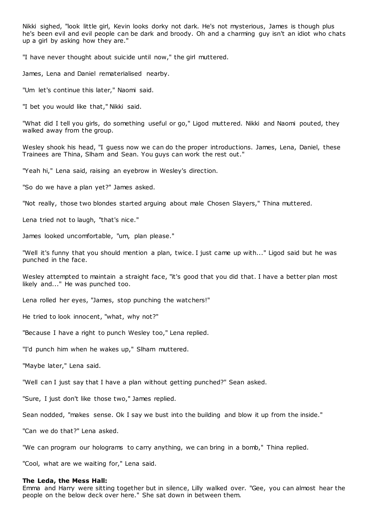Nikki sighed, "look little girl, Kevin looks dorky not dark. He's not mysterious, James is though plus he's been evil and evil people can be dark and broody. Oh and a charming guy isn't an idiot who chats up a girl by asking how they are."

"I have never thought about suicide until now," the girl muttered.

James, Lena and Daniel rematerialised nearby.

"Um let's continue this later," Naomi said.

"I bet you would like that," Nikki said.

"What did I tell you girls, do something useful or go," Ligod muttered. Nikki and Naomi pouted, they walked away from the group.

Wesley shook his head, "I guess now we can do the proper introductions. James, Lena, Daniel, these Trainees are Thina, Slham and Sean. You guys can work the rest out."

"Yeah hi," Lena said, raising an eyebrow in Wesley's direction.

"So do we have a plan yet?" James asked.

"Not really, those two blondes started arguing about male Chosen Slayers," Thina muttered.

Lena tried not to laugh, "that's nice."

James looked uncomfortable, "um, plan please."

"Well it's funny that you should mention a plan, twice. I just came up with..." Ligod said but he was punched in the face.

Wesley attempted to maintain a straight face, "it's good that you did that. I have a better plan most likely and..." He was punched too.

Lena rolled her eyes, "James, stop punching the watchers!"

He tried to look innocent, "what, why not?"

"Because I have a right to punch Wesley too," Lena replied.

"I'd punch him when he wakes up," Slham muttered.

"Maybe later," Lena said.

"Well can I just say that I have a plan without getting punched?" Sean asked.

"Sure, I just don't like those two," James replied.

Sean nodded, "makes sense. Ok I say we bust into the building and blow it up from the inside."

"Can we do that?" Lena asked.

"We can program our holograms to carry anything, we can bring in a bomb," Thina replied.

"Cool, what are we waiting for," Lena said.

#### **The Leda, the Mess Hall:**

Emma and Harry were sitting together but in silence, Lilly walked over. "Gee, you can almost hear the people on the below deck over here." She sat down in between them.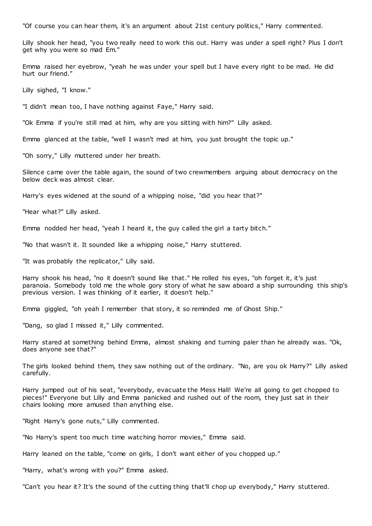"Of course you can hear them, it's an argument about 21st century politics," Harry commented.

Lilly shook her head, "you two really need to work this out. Harry was under a spell right? Plus I don't get why you were so mad Em."

Emma raised her eyebrow, "yeah he was under your spell but I have every right to be mad. He did hurt our friend."

Lilly sighed, "I know."

"I didn't mean too, I have nothing against Faye," Harry said.

"Ok Emma if you're still mad at him, why are you sitting with him?" Lilly asked.

Emma glanced at the table, "well I wasn't mad at him, you just brought the topic up."

"Oh sorry," Lilly muttered under her breath.

Silence came over the table again, the sound of two crewmembers arguing about democracy on the below deck was almost clear.

Harry's eyes widened at the sound of a whipping noise, "did you hear that?"

"Hear what?" Lilly asked.

Emma nodded her head, "yeah I heard it, the guy called the girl a tarty bitch."

"No that wasn't it. It sounded like a whipping noise," Harry stuttered.

"It was probably the replicator," Lilly said.

Harry shook his head, "no it doesn't sound like that." He rolled his eyes, "oh forget it, it's just paranoia. Somebody told me the whole gory story of what he saw aboard a ship surrounding this ship's previous version. I was thinking of it earlier, it doesn't help."

Emma giggled, "oh yeah I remember that story, it so reminded me of Ghost Ship."

"Dang, so glad I missed it," Lilly commented.

Harry stared at something behind Emma, almost shaking and turning paler than he already was. "Ok, does anyone see that?"

The girls looked behind them, they saw nothing out of the ordinary. "No, are you ok Harry?" Lilly asked carefully.

Harry jumped out of his seat, "everybody, evacuate the Mess Hall! We're all going to get chopped to pieces!" Everyone but Lilly and Emma panicked and rushed out of the room, they just sat in their chairs looking more amused than anything else.

"Right Harry's gone nuts," Lilly commented.

"No Harry's spent too much time watching horror movies," Emma said.

Harry leaned on the table, "come on girls, I don't want either of you chopped up."

"Harry, what's wrong with you?" Emma asked.

"Can't you hear it? It's the sound of the cutting thing that'll chop up everybody," Harry stuttered.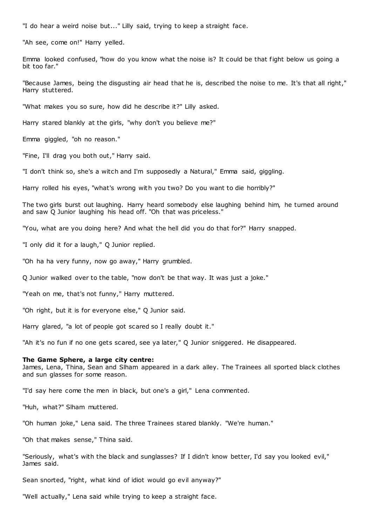"I do hear a weird noise but..." Lilly said, trying to keep a straight face.

"Ah see, come on!" Harry yelled.

Emma looked confused, "how do you know what the noise is? It could be that fight below us going a bit too far."

"Because James, being the disgusting air head that he is, described the noise to me. It's that all right," Harry stuttered.

"What makes you so sure, how did he describe it?" Lilly asked.

Harry stared blankly at the girls, "why don't you believe me?"

Emma giggled, "oh no reason."

"Fine, I'll drag you both out," Harry said.

"I don't think so, she's a witch and I'm supposedly a Natural," Emma said, giggling.

Harry rolled his eyes, "what's wrong with you two? Do you want to die horribly?"

The two girls burst out laughing. Harry heard somebody else laughing behind him, he turned around and saw Q Junior laughing his head off. "Oh that was priceless."

"You, what are you doing here? And what the hell did you do that for?" Harry snapped.

"I only did it for a laugh," Q Junior replied.

"Oh ha ha very funny, now go away," Harry grumbled.

Q Junior walked over to the table, "now don't be that way. It was just a joke."

"Yeah on me, that's not funny," Harry muttered.

"Oh right, but it is for everyone else," Q Junior said.

Harry glared, "a lot of people got scared so I really doubt it."

"Ah it's no fun if no one gets scared, see ya later," Q Junior sniggered. He disappeared.

#### **The Game Sphere, a large city centre:**

James, Lena, Thina, Sean and Slham appeared in a dark alley. The Trainees all sported black clothes and sun glasses for some reason.

"I'd say here come the men in black, but one's a girl," Lena commented.

"Huh, what?" Slham muttered.

"Oh human joke," Lena said. The three Trainees stared blankly. "We're human."

"Oh that makes sense," Thina said.

"Seriously, what's with the black and sunglasses? If I didn't know better, I'd say you looked evil," James said.

Sean snorted, "right, what kind of idiot would go evil anyway?"

"Well actually," Lena said while trying to keep a straight face.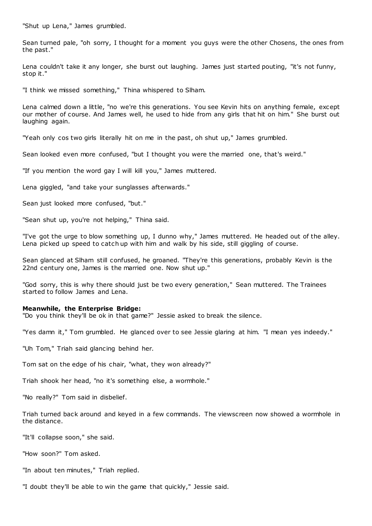"Shut up Lena," James grumbled.

Sean turned pale, "oh sorry, I thought for a moment you guys were the other Chosens, the ones from the past."

Lena couldn't take it any longer, she burst out laughing. James just started pouting, "it's not funny, stop it."

"I think we missed something," Thina whispered to Slham.

Lena calmed down a little, "no we're this generations. You see Kevin hits on anything female, except our mother of course. And James well, he used to hide from any girls that hit on him." She burst out laughing again.

"Yeah only cos two girls literally hit on me in the past, oh shut up," James grumbled.

Sean looked even more confused, "but I thought you were the married one, that's weird."

"If you mention the word gay I will kill you," James muttered.

Lena giggled, "and take your sunglasses afterwards."

Sean just looked more confused, "but."

"Sean shut up, you're not helping," Thina said.

"I've got the urge to blow something up, I dunno why," James muttered. He headed out of the alley. Lena picked up speed to catch up with him and walk by his side, still giggling of course.

Sean glanced at Slham still confused, he groaned. "They're this generations, probably Kevin is the 22nd century one, James is the married one. Now shut up."

"God sorry, this is why there should just be two every generation," Sean muttered. The Trainees started to follow James and Lena.

#### **Meanwhile, the Enterprise Bridge:**

"Do you think they'll be ok in that game?" Jessie asked to break the silence.

"Yes damn it," Tom grumbled. He glanced over to see Jessie glaring at him. "I mean yes indeedy."

"Uh Tom," Triah said glancing behind her.

Tom sat on the edge of his chair, "what, they won already?"

Triah shook her head, "no it's something else, a wormhole."

"No really?" Tom said in disbelief.

Triah turned back around and keyed in a few commands. The viewscreen now showed a wormhole in the distance.

"It'll collapse soon," she said.

"How soon?" Tom asked.

"In about ten minutes," Triah replied.

"I doubt they'll be able to win the game that quickly," Jessie said.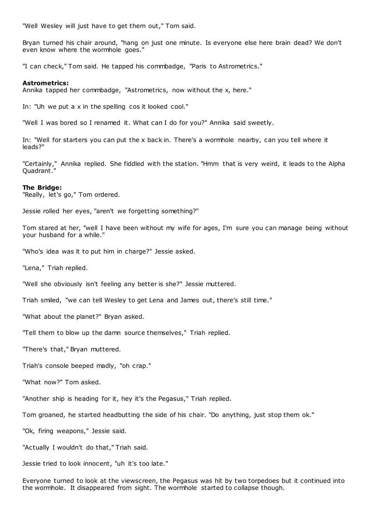"Well Wesley will just have to get them out," Tom said.

Bryan turned his chair around, "hang on just one minute. Is everyone else here brain dead? We don't even know where the wormhole goes."

"I can check," Tom said. He tapped his commbadge, "Paris to Astrometrics."

# **Astrometrics:**

Annika tapped her commbadge, "Astrometrics, now without the x, here."

In: "Uh we put a x in the spelling cos it looked cool."

"Well I was bored so I renamed it. What can I do for you?" Annika said sweetly.

In: "Well for starters you can put the x back in. There's a wormhole nearby, can you tell where it leads?"

"Certainly," Annika replied. She fiddled with the station. "Hmm that is very weird, it leads to the Alpha Quadrant."

#### **The Bridge:**

"Really, let's go," Tom ordered.

Jessie rolled her eyes, "aren't we forgetting something?"

Tom stared at her, "well I have been without my wife for ages, I'm sure you can manage being without your husband for a while."

"Who's idea was it to put him in charge?" Jessie asked.

"Lena," Triah replied.

"Well she obviously isn't feeling any better is she?" Jessie muttered.

Triah smiled, "we can tell Wesley to get Lena and James out, there's still time."

"What about the planet?" Bryan asked.

"Tell them to blow up the damn source themselves," Triah replied.

"There's that," Bryan muttered.

Triah's console beeped madly, "oh crap."

"What now?" Tom asked.

"Another ship is heading for it, hey it's the Pegasus," Triah replied.

Tom groaned, he started headbutting the side of his chair. "Do anything, just stop them ok."

"Ok, firing weapons," Jessie said.

"Actually I wouldn't do that," Triah said.

Jessie tried to look innocent, "uh it's too late."

Everyone turned to look at the viewscreen, the Pegasus was hit by two torpedoes but it continued into the wormhole. It disappeared from sight. The wormhole started to collapse though.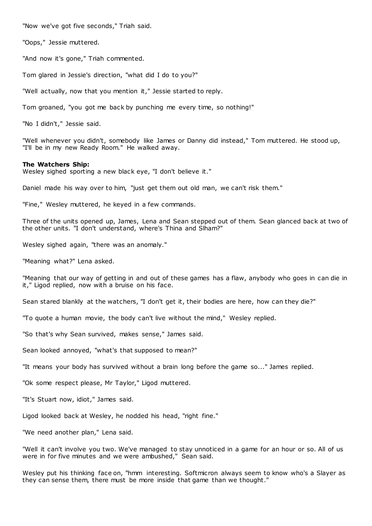"Now we've got five seconds," Triah said.

"Oops," Jessie muttered.

"And now it's gone," Triah commented.

Tom glared in Jessie's direction, "what did I do to you?"

"Well actually, now that you mention it," Jessie started to reply.

Tom groaned, "you got me back by punching me every time, so nothing!"

"No I didn't," Jessie said.

"Well whenever you didn't, somebody like James or Danny did instead," Tom muttered. He stood up, "I'll be in my new Ready Room." He walked away.

#### **The Watchers Ship:**

Wesley sighed sporting a new black eye, "I don't believe it."

Daniel made his way over to him, "just get them out old man, we can't risk them."

"Fine," Wesley muttered, he keyed in a few commands.

Three of the units opened up, James, Lena and Sean stepped out of them. Sean glanced back at two of the other units. "I don't understand, where's Thina and Slham?"

Wesley sighed again, "there was an anomaly."

"Meaning what?" Lena asked.

"Meaning that our way of getting in and out of these games has a flaw, anybody who goes in can die in it," Ligod replied, now with a bruise on his face.

Sean stared blankly at the watchers, "I don't get it, their bodies are here, how can they die?"

"To quote a human movie, the body can't live without the mind," Wesley replied.

"So that's why Sean survived, makes sense," James said.

Sean looked annoyed, "what's that supposed to mean?"

"It means your body has survived without a brain long before the game so..." James replied.

"Ok some respect please, Mr Taylor," Ligod muttered.

"It's Stuart now, idiot," James said.

Ligod looked back at Wesley, he nodded his head, "right fine."

"We need another plan," Lena said.

"Well it can't involve you two. We've managed to stay unnoticed in a game for an hour or so. All of us were in for five minutes and we were ambushed," Sean said.

Wesley put his thinking face on, "hmm interesting. Softmicron always seem to know who's a Slayer as they can sense them, there must be more inside that game than we thought."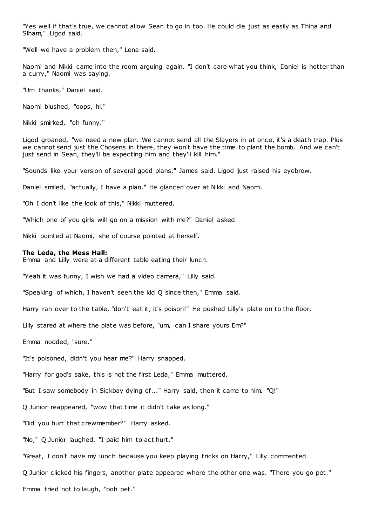"Yes well if that's true, we cannot allow Sean to go in too. He could die just as easily as Thina and Slham," Ligod said.

"Well we have a problem then," Lena said.

Naomi and Nikki came into the room arguing again. "I don't care what you think, Daniel is hotter than a curry," Naomi was saying.

"Um thanks," Daniel said.

Naomi blushed, "oops, hi."

Nikki smirked, "oh funny."

Ligod groaned, "we need a new plan. We cannot send all the Slayers in at once, it's a death trap. Plus we cannot send just the Chosens in there, they won't have the time to plant the bomb. And we can't just send in Sean, they'll be expecting him and they'll kill him."

"Sounds like your version of several good plans," James said. Ligod just raised his eyebrow.

Daniel smiled, "actually, I have a plan." He glanced over at Nikki and Naomi.

"Oh I don't like the look of this," Nikki muttered.

"Which one of you girls will go on a mission with me?" Daniel asked.

Nikki pointed at Naomi, she of course pointed at herself.

# **The Leda, the Mess Hall:**

Emma and Lilly were at a different table eating their lunch.

"Yeah it was funny, I wish we had a video camera," Lilly said.

"Speaking of which, I haven't seen the kid Q since then," Emma said.

Harry ran over to the table, "don't eat it, it's poison!" He pushed Lilly's plate on to the floor.

Lilly stared at where the plate was before, "um, can I share yours Em?"

Emma nodded, "sure."

"It's poisoned, didn't you hear me?" Harry snapped.

"Harry for god's sake, this is not the first Leda," Emma muttered.

"But I saw somebody in Sickbay dying of..." Harry said, then it came to him. "Q!"

Q Junior reappeared, "wow that time it didn't take as long."

"Did you hurt that crewmember?" Harry asked.

"No," Q Junior laughed. "I paid him to act hurt."

"Great, I don't have my lunch because you keep playing tricks on Harry," Lilly commented.

Q Junior clicked his fingers, another plate appeared where the other one was. "There you go pet."

Emma tried not to laugh, "ooh pet."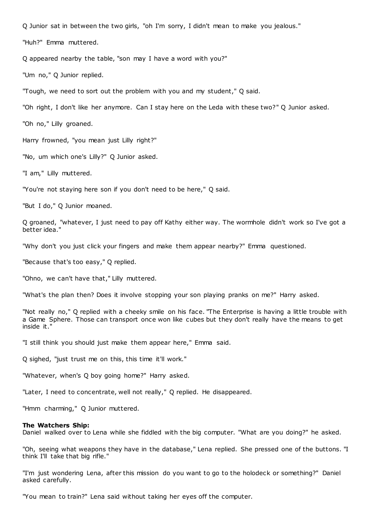Q Junior sat in between the two girls, "oh I'm sorry, I didn't mean to make you jealous."

"Huh?" Emma muttered.

Q appeared nearby the table, "son may I have a word with you?"

"Um no," Q Junior replied.

"Tough, we need to sort out the problem with you and my student," Q said.

"Oh right, I don't like her anymore. Can I stay here on the Leda with these two?" Q Junior asked.

"Oh no," Lilly groaned.

Harry frowned, "you mean just Lilly right?"

"No, um which one's Lilly?" Q Junior asked.

"I am," Lilly muttered.

"You're not staying here son if you don't need to be here," Q said.

"But I do," Q Junior moaned.

Q groaned, "whatever, I just need to pay off Kathy either way. The wormhole didn't work so I've got a better idea."

"Why don't you just click your fingers and make them appear nearby?" Emma questioned.

"Because that's too easy," Q replied.

"Ohno, we can't have that," Lilly muttered.

"What's the plan then? Does it involve stopping your son playing pranks on me?" Harry asked.

"Not really no," Q replied with a cheeky smile on his face. "The Enterprise is having a little trouble with a Game Sphere. Those can transport once won like cubes but they don't really have the means to get inside it."

"I still think you should just make them appear here," Emma said.

Q sighed, "just trust me on this, this time it'll work."

"Whatever, when's Q boy going home?" Harry asked.

"Later, I need to concentrate, well not really," Q replied. He disappeared.

"Hmm charming," Q Junior muttered.

#### **The Watchers Ship:**

Daniel walked over to Lena while she fiddled with the big computer. "What are you doing?" he asked.

"Oh, seeing what weapons they have in the database," Lena replied. She pressed one of the buttons. "I think I'll take that big rifle."

"I'm just wondering Lena, after this mission do you want to go to the holodeck or something?" Daniel asked carefully.

"You mean to train?" Lena said without taking her eyes off the computer.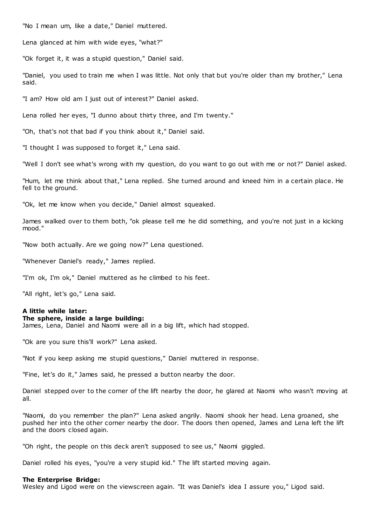"No I mean um, like a date," Daniel muttered.

Lena glanced at him with wide eyes, "what?"

"Ok forget it, it was a stupid question," Daniel said.

"Daniel, you used to train me when I was little. Not only that but you're older than my brother," Lena said.

"I am? How old am I just out of interest?" Daniel asked.

Lena rolled her eyes, "I dunno about thirty three, and I'm twenty."

"Oh, that's not that bad if you think about it," Daniel said.

"I thought I was supposed to forget it," Lena said.

"Well I don't see what's wrong with my question, do you want to go out with me or not?" Daniel asked.

"Hum, let me think about that," Lena replied. She turned around and kneed him in a certain place. He fell to the ground.

"Ok, let me know when you decide," Daniel almost squeaked.

James walked over to them both, "ok please tell me he did something, and you're not just in a kicking mood."

"Now both actually. Are we going now?" Lena questioned.

"Whenever Daniel's ready," James replied.

"I'm ok, I'm ok," Daniel muttered as he climbed to his feet.

"All right, let's go," Lena said.

## **A little while later:**

## **The sphere, inside a large building:**

James, Lena, Daniel and Naomi were all in a big lift, which had stopped.

"Ok are you sure this'll work?" Lena asked.

"Not if you keep asking me stupid questions," Daniel muttered in response.

"Fine, let's do it," James said, he pressed a button nearby the door.

Daniel stepped over to the corner of the lift nearby the door, he glared at Naomi who wasn't moving at all.

"Naomi, do you remember the plan?" Lena asked angrily. Naomi shook her head. Lena groaned, she pushed her into the other corner nearby the door. The doors then opened, James and Lena left the lift and the doors closed again.

"Oh right, the people on this deck aren't supposed to see us," Naomi giggled.

Daniel rolled his eyes, "you're a very stupid kid." The lift started moving again.

## **The Enterprise Bridge:**

Wesley and Ligod were on the viewscreen again. "It was Daniel's idea I assure you," Ligod said.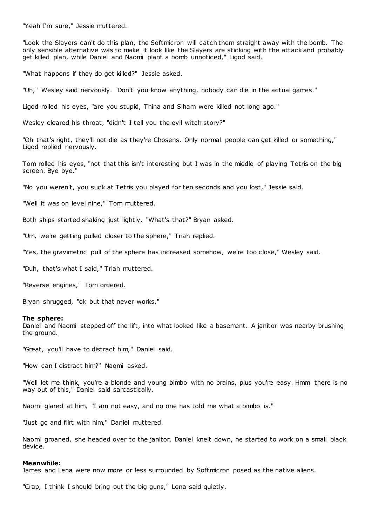"Yeah I'm sure," Jessie muttered.

"Look the Slayers can't do this plan, the Softmicron will catch them straight away with the bomb. The only sensible alternative was to make it look like the Slayers are sticking with the attack and probably get killed plan, while Daniel and Naomi plant a bomb unnoticed," Ligod said.

"What happens if they do get killed?" Jessie asked.

"Uh," Wesley said nervously. "Don't you know anything, nobody can die in the actual games."

Ligod rolled his eyes, "are you stupid, Thina and Slham were killed not long ago."

Wesley cleared his throat, "didn't I tell you the evil witch story?"

"Oh that's right, they'll not die as they're Chosens. Only normal people can get killed or something," Ligod replied nervously.

Tom rolled his eyes, "not that this isn't interesting but I was in the middle of playing Tetris on the big screen. Bye bye."

"No you weren't, you suck at Tetris you played for ten seconds and you lost," Jessie said.

"Well it was on level nine," Tom muttered.

Both ships started shaking just lightly. "What's that?" Bryan asked.

"Um, we're getting pulled closer to the sphere," Triah replied.

"Yes, the gravimetric pull of the sphere has increased somehow, we're too close," Wesley said.

"Duh, that's what I said," Triah muttered.

"Reverse engines," Tom ordered.

Bryan shrugged, "ok but that never works."

#### **The sphere:**

Daniel and Naomi stepped off the lift, into what looked like a basement. A janitor was nearby brushing the ground.

"Great, you'll have to distract him," Daniel said.

"How can I distract him?" Naomi asked.

"Well let me think, you're a blonde and young bimbo with no brains, plus you're easy. Hmm there is no way out of this," Daniel said sarcastically.

Naomi glared at him, "I am not easy, and no one has told me what a bimbo is."

"Just go and flirt with him," Daniel muttered.

Naomi groaned, she headed over to the janitor. Daniel knelt down, he started to work on a small black device.

#### **Meanwhile:**

James and Lena were now more or less surrounded by Softmicron posed as the native aliens.

"Crap, I think I should bring out the big guns," Lena said quietly.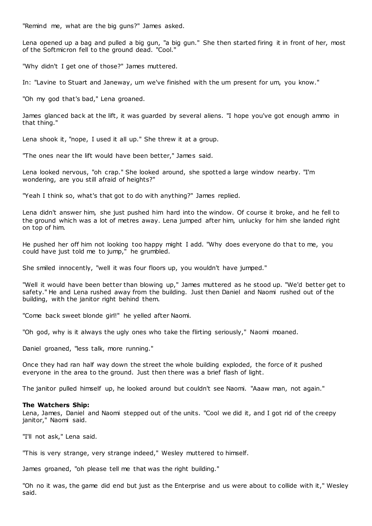"Remind me, what are the big guns?" James asked.

Lena opened up a bag and pulled a big gun, "a big gun." She then started firing it in front of her, most of the Softmicron fell to the ground dead. "Cool."

"Why didn't I get one of those?" James muttered.

In: "Lavine to Stuart and Janeway, um we've finished with the um present for um, you know."

"Oh my god that's bad," Lena groaned.

James glanced back at the lift, it was guarded by several aliens. "I hope you've got enough ammo in that thing."

Lena shook it, "nope, I used it all up." She threw it at a group.

"The ones near the lift would have been better," James said.

Lena looked nervous, "oh crap." She looked around, she spotted a large window nearby. "I'm wondering, are you still afraid of heights?"

"Yeah I think so, what's that got to do with anything?" James replied.

Lena didn't answer him, she just pushed him hard into the window. Of course it broke, and he fell to the ground which was a lot of metres away. Lena jumped after him, unlucky for him she landed right on top of him.

He pushed her off him not looking too happy might I add. "Why does everyone do that to me, you could have just told me to jump," he grumbled.

She smiled innocently, "well it was four floors up, you wouldn't have jumped."

"Well it would have been better than blowing up," James muttered as he stood up. "We'd better get to safety." He and Lena rushed away from the building. Just then Daniel and Naomi rushed out of the building, with the janitor right behind them.

"Come back sweet blonde girl!" he yelled after Naomi.

"Oh god, why is it always the ugly ones who take the flirting seriously," Naomi moaned.

Daniel groaned, "less talk, more running."

Once they had ran half way down the street the whole building exploded, the force of it pushed everyone in the area to the ground. Just then there was a brief flash of light.

The janitor pulled himself up, he looked around but couldn't see Naomi. "Aaaw man, not again."

#### **The Watchers Ship:**

Lena, James, Daniel and Naomi stepped out of the units. "Cool we did it, and I got rid of the creepy janitor," Naomi said.

"I'll not ask," Lena said.

"This is very strange, very strange indeed," Wesley muttered to himself.

James groaned, "oh please tell me that was the right building."

"Oh no it was, the game did end but just as the Enterprise and us were about to collide with it," Wesley said.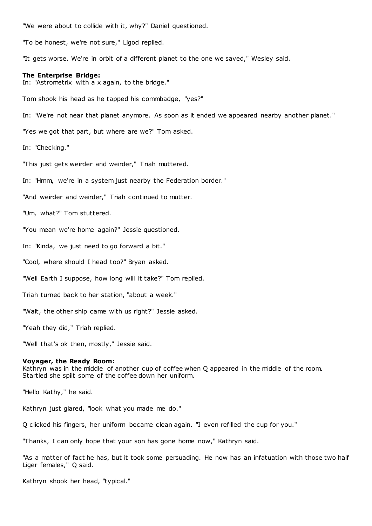"We were about to collide with it, why?" Daniel questioned.

"To be honest, we're not sure," Ligod replied.

"It gets worse. We're in orbit of a different planet to the one we saved," Wesley said.

## **The Enterprise Bridge:**

In: "Astrometrix with a x again, to the bridge."

Tom shook his head as he tapped his commbadge, "yes?"

In: "We're not near that planet anymore. As soon as it ended we appeared nearby another planet."

"Yes we got that part, but where are we?" Tom asked.

In: "Checking."

"This just gets weirder and weirder," Triah muttered.

In: "Hmm, we're in a system just nearby the Federation border."

"And weirder and weirder," Triah continued to mutter.

"Um, what?" Tom stuttered.

"You mean we're home again?" Jessie questioned.

In: "Kinda, we just need to go forward a bit."

"Cool, where should I head too?" Bryan asked.

"Well Earth I suppose, how long will it take?" Tom replied.

Triah turned back to her station, "about a week."

"Wait, the other ship came with us right?" Jessie asked.

"Yeah they did," Triah replied.

"Well that's ok then, mostly," Jessie said.

#### **Voyager, the Ready Room:**

Kathryn was in the middle of another cup of coffee when Q appeared in the middle of the room. Startled she spilt some of the coffee down her uniform.

"Hello Kathy," he said.

Kathryn just glared, "look what you made me do."

Q clicked his fingers, her uniform became clean again. "I even refilled the cup for you."

"Thanks, I can only hope that your son has gone home now," Kathryn said.

"As a matter of fact he has, but it took some persuading. He now has an infatuation with those two half Liger females," Q said.

Kathryn shook her head, "typical."